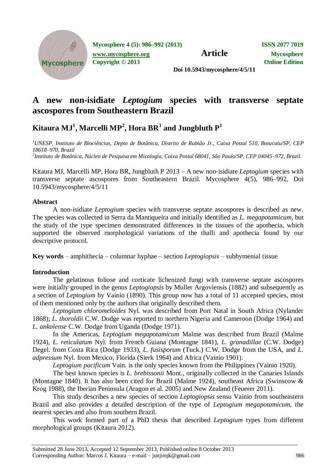

**Mycosphere 4 (5): 986–992 (2013) ISSN 2077 7019**

**[www.mycosphere.org](http://www.mycosphere.org/) Article Mycosphere Copyright © 2013 Online Edition**

**Doi 10.5943/mycosphere/4/5/11**

# **A new non-isidiate** *Leptogium* **species with transverse septate ascospores from Southeastern Brazil**

# $\mathbf{K}$ itaura  $\mathbf{M}\mathbf{J}^1$ ,  $\mathbf{M}\mathbf{arcelli}\ \mathbf{MP}^2$ ,  $\mathbf{H}\mathbf{ora}\ \mathbf{BR}^1$  and  $\mathbf{J}$ ungbluth  $\mathbf{P}^1$

*<sup>1</sup>UNESP, Instituto de Biociências, Depto de Botânica, Distrito de Rubião Jr., Caixa Postal 510, Botucatu/SP, CEP 18618–970, Brazil 2 Instituto de Botânica, Núcleo de Pesquisa em Micologia, Caixa Postal 68041, São Paulo/SP, CEP 04045–972, Brazil.*

Kitaura MJ, Marcelli MP, Hora BR, Jungbluth P 2013 – A new non-isidiate *Leptogium* species with transverse septate ascospores from Southeastern Brazil. Mycosphere 4(5), 986–992, Doi 10.5943/mycosphere/4/5/11

## **Abstract**

A non-isidiate *Leptogium* species with transverse septate ascospores is described as new. The species was collected in Serra da Mantiqueira and initially identified as *L. megapotamicum*, but the study of the type specimen demonstrated differences in the tissues of the apothecia, which supported the observed morphological variations of the thalli and apothecia found by our descriptive protocol.

**Key words** – amphithecia – columnar hyphae – section *Leptogiopsis* – subhymenial tissue

# **Introduction**

The gelatinous foliose and corticate lichenized fungi with transverse septate ascospores were initially grouped in the genus *Leptogiopsis* by Muller Argoviensis (1882) and subsequently as a section of *Leptogium* by Vainio (1890). This group now has a total of 11 accepted species, most of them mentioned only by the authors that originally described them.

*Leptogium chloromeloides* Nyl. was described from Port Natal in South Africa (Nylander 1868); *L. thoroldii* C.W. Dodge was reported to northern Nigeria and Cameroon (Dodge 1964) and *L. ankolense* C.W. Dodge from Uganda (Dodge 1971).

In the Americas, *Leptogium megapotamicum* Malme was described from Brazil (Malme 1924), *L. reticulatum* Nyl. from French Guiana (Montagne 1841), *L. granadillae* (C.W. Dodge) Degel. from Costa Rica (Dodge 1933), *L. fusisporum* (Tuck.) C.W. Dodge from the USA, and *L. adpressum* Nyl. from Mexico, Florida (Sierk 1964) and Africa (Vainio 1901).

*Leptogium pacificum* Vain. is the only species known from the Philippines (Vainio 1920).

The best known species is *L. brebissonii* Mont., originally collected in the Canaries Islands (Montagne 1840). It has also been cited for Brazil (Malme 1924), southeast Africa (Swinscow  $\&$ Krog 1988), the Iberian Peninsula (Aragon et al. 2005) and New Zealand (Feuerer 2011).

This study describes a new species of section *Leptogiopsis* sensu Vainio from southeastern Brazil and also provides a detailed description of the type of *Leptogium megapotamicum,* the nearest species and also from southern Brazil.

This work formed part of a PhD thesis that described *Leptogium* types from different morphological groups (Kitaura 2012).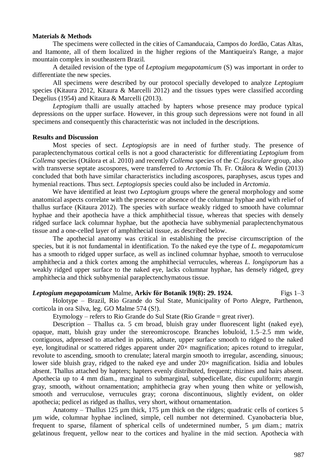#### **Materials & Methods**

The specimens were collected in the cities of Camanducaia, Campos do Jordão, Catas Altas, and Itamonte, all of them localized in the higher regions of the Mantiqueira's Range, a major mountain complex in southeastern Brazil.

A detailed revision of the type of *Leptogium megapotamicum* (S) was important in order to differentiate the new species.

All specimens were described by our protocol specially developed to analyze *Leptogium* species (Kitaura 2012, Kitaura & Marcelli 2012) and the tissues types were classified according Degelius (1954) and Kitaura & Marcelli (2013).

*Leptogium* thalli are usually attached by hapters whose presence may produce typical depressions on the upper surface. However, in this group such depressions were not found in all specimens and consequently this characteristic was not included in the descriptions.

#### **Results and Discussion**

Most species of sect. *Leptogiopsis* are in need of further study. The presence of paraplectenchymatous cortical cells is not a good characteristic for differentiating *Leptogium* from *Collema* species (Otálora et al. 2010) and recently *Collema* species of the *C. fasciculare* group, also with transverse septate ascospores, were transferred to *Arctomia* Th. Fr. Otálora & Wedin (2013) concluded that both have similar characteristics including ascospores, paraphyses, ascus types and hymenial reactions. Thus sect. *Leptogiopsis* species could also be included in *Arctomia*.

We have identified at least two *Leptogium* groups where the general morphology and some anatomical aspects correlate with the presence or absence of the columnar hyphae and with relief of thallus surface (Kitaura 2012). The species with surface weakly ridged to smooth have columnar hyphae and their apothecia have a thick amphithecial tissue, whereas that species with densely ridged surface lack columnar hyphae, but the apothecia have subhymenial paraplectenchymatous tissue and a one-celled layer of amphithecial tissue, as described below.

The apothecial anatomy was critical in establishing the precise circumscription of the species, but it is not fundamental in identification. To the naked eye the type of *L. megapotamicum* has a smooth to ridged upper surface, as well as inclined columnar hyphae, smooth to verruculose amphithecia and a thick cortex among the amphithecial verrucules, whereas *L. longisporum* has a weakly ridged upper surface to the naked eye, lacks columnar hyphae, has densely ridged, grey amphithecia and thick subhymenial paraplectenchymatous tissue.

# *Leptogium megapotamicum* Malme, Arkiv för Botanik 19(8): 29. 1924. Figs 1–3

Holotype – Brazil, Rio Grande do Sul State, Municipality of Porto Alegre, Parthenon, corticola in ora Silva, leg. GO Malme 574 (S!).

Etymology – refers to Rio Grande do Sul State (Rio Grande = great river).

Description – Thallus ca. 5 cm broad, bluish gray under fluorescent light (naked eye), opaque, matt, bluish gray under the stereomicroscope. Branches lobuloid, 1.5–2.5 mm wide, contiguous, adpressed to attached in points, adnate, upper surface smooth to ridged to the naked eye, longitudinal or scattered ridges apparent under  $20\times$  magnification; apices rotund to irregular, revolute to ascending, smooth to crenulate; lateral margin smooth to irregular, ascending, sinuous; lower side bluish gray, ridged to the naked eye and under  $20\times$  magnification. Isidia and lobules absent. Thallus attached by hapters; hapters evenly distributed, frequent; rhizines and hairs absent. Apothecia up to 4 mm diam., marginal to submarginal, subpedicellate, disc cupuliform; margin gray, smooth, without ornamentation; amphithecia gray when young then white or yellowish, smooth and verruculose, verrucules gray; corona discontinuous, slightly evident, on older apothecia; pedicel as ridged as thallus, very short, without ornamentation.

Anatomy – Thallus 125 µm thick, 175 µm thick on the ridges; quadratic cells of cortices 5 um wide, columnar hyphae inclined, simple, cell number not determined. Cyanobacteria blue, frequent to sparse, filament of spherical cells of undetermined number, 5 µm diam.; matrix gelatinous frequent, yellow near to the cortices and hyaline in the mid section. Apothecia with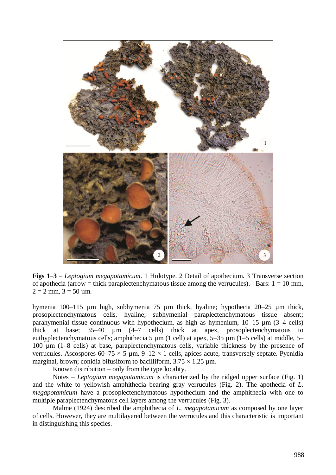

**Figs 1**–**3** – *Leptogium megapotamicum*. 1 Holotype. 2 Detail of apothecium. 3 Transverse section of apothecia (arrow = thick paraplectenchymatous tissue among the verrucules). - Bars:  $1 = 10$  mm,  $2 = 2$  mm,  $3 = 50$  µm.

hymenia 100–115 µm high, subhymenia 75 µm thick, hyaline; hypothecia 20–25 µm thick, prosoplectenchymatous cells, hyaline; subhymenial paraplectenchymatous tissue absent; parahymenial tissue continuous with hypothecium, as high as hymenium,  $10-15 \mu m$  (3-4 cells) thick at base; 35–40 µm (4–7 cells) thick at apex, prosoplectenchymatous to euthyplectenchymatous cells; amphithecia 5 µm (1 cell) at apex, 5–35 µm (1–5 cells) at middle, 5– 100 µm (1–8 cells) at base, paraplectenchymatous cells, variable thickness by the presence of verrucules. Ascospores 60–75  $\times$  5 µm, 9–12  $\times$  1 cells, apices acute, transversely septate. Pycnidia marginal, brown; conidia bifusiform to bacilliform,  $3.75 \times 1.25$  um.

Known distribution – only from the type locality.

Notes – *Leptogium megapotamicum* is characterized by the ridged upper surface (Fig. 1) and the white to yellowish amphithecia bearing gray verrucules (Fig. 2). The apothecia of *L. megapotamicum* have a prosoplectenchymatous hypothecium and the amphithecia with one to multiple paraplectenchymatous cell layers among the verrucules (Fig. 3).

Malme (1924) described the amphithecia of *L. megapotamicum* as composed by one layer of cells. However, they are multilayered between the verrucules and this characteristic is important in distinguishing this species.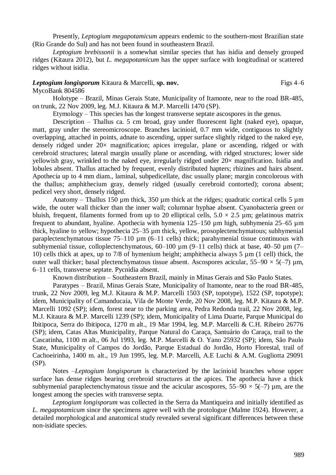Presently, *Leptogium megapotamicum* appears endemic to the southern-most Brazilian state (Rio Grande do Sul) and has not been found in southeastern Brazil.

*Leptogium brebissonii* is a somewhat similar species that has isidia and densely grouped ridges (Kitaura 2012), but *L. megapotamicum* has the upper surface with longitudinal or scattered ridges without isidia.

*Leptogium longisporum* Kitaura & Marcelli, **sp. nov.** Figs 4–6

MycoBank 804586

Holotype – Brazil, Minas Gerais State, Municipality of Itamonte, near to the road BR-485, on trunk, 22 Nov 2009, leg. M.J. Kitaura & M.P. Marcelli 1470 (SP).

Etymology – This species has the longest transverse septate ascospores in the genus.

Description – Thallus ca. 5 cm broad, gray under fluorescent light (naked eye), opaque, matt, gray under the stereomicroscope. Branches lacinioid, 0.7 mm wide, contiguous to slightly overlapping, attached in points, adnate to ascending, upper surface slightly ridged to the naked eye, densely ridged under  $20 \times$  magnification; apices irregular, plane or ascending, ridged or with cerebroid structures; lateral margin usually plane or ascending, with ridged structures; lower side yellowish gray, wrinkled to the naked eye, irregularly ridged under  $20\times$  magnification. Isidia and lobules absent. Thallus attached by frequent, evenly distributed hapters; rhizines and hairs absent. Apothecia up to 4 mm diam., laminal, subpedicellate, disc usually plane; margin concolorous with the thallus; amphithecium gray, densely ridged (usually cerebroid contorted); corona absent; pedicel very short, densely ridged.

Anatomy – Thallus 150 µm thick, 350 µm thick at the ridges; quadratic cortical cells 5 µm wide, the outer wall thicker than the inner wall; columnar hyphae absent. Cyanobacteria green or bluish, frequent, filaments formed from up to 20 elliptical cells,  $5.0 \times 2.5$  µm; gelatinous matrix frequent to abundant, hyaline. Apothecia with hymenia 125–150 µm high, subhymenia 25–65 µm thick, hyaline to yellow; hypothecia 25–35 µm thick, yellow, prosoplectenchymatous; subhymenial paraplectenchymatous tissue 75–110 µm (6–11 cells) thick; parahymenial tissue continuous with subhymenial tissue, colloplectenchymatous, 60–100 µm (9–11 cells) thick at base, 40–50 µm (7– 10) cells thick at apex, up to 7/8 of hymenium height; amphithecia always 5 µm (1 cell) thick, the outer wall thicker; basal plectenchymatous tissue absent. Ascospores acicular,  $55-90 \times 5(-7)$  µm, 6–11 cells, transverse septate. Pycnidia absent.

Known distribution – Southeastern Brazil, mainly in Minas Gerais and São Paulo States.

Paratypes – Brazil, Minas Gerais State, Municipality of Itamonte, near to the road BR-485, trunk, 22 Nov 2009, leg M.J. Kitaura & M.P. Marcelli 1503 (SP, topotype), 1522 (SP, topotype); idem, Municipality of Camanducaia, Vila de Monte Verde, 20 Nov 2008, leg. M.P. Kitaura & M.P. Marcelli 1092 (SP); idem, forest near to the parking area, Pedra Redonda trail, 22 Nov 2008, leg. M.J. Kitaura & M.P. Marcelli 1239 (SP); idem, Municipality of Lima Duarte, Parque Municipal do Ibitipoca, Serra do Ibitipoca, 1270 m alt., 19 Mar 1994, leg. M.P. Marcelli & C.H. Ribeiro 26776 (SP); idem, Catas Altas Municipality, Parque Natural do Caraça, Santuário do Caraça, trail to the Cascatinha, 1100 m alt., 06 Jul 1993, leg. M.P. Marcelli & O. Yano 25932 (SP); idem, São Paulo State, Municipality of Campos do Jordão, Parque Estadual do Jordão, Horto Florestal, trail of Cachoeirinha, 1400 m. alt., 19 Jun 1995, leg. M.P. Marcelli, A.E Luchi & A.M. Gugliotta 29091 (SP).

Notes –*Leptogium longisporum* is characterized by the lacinioid branches whose upper surface has dense ridges bearing cerebroid structures at the apices. The apothecia have a thick subhymenial paraplectenchymatous tissue and the acicular ascospores,  $55-90 \times 5(-7)$  µm, are the longest among the species with transverse septa.

*Leptogium longisporum* was collected in the Serra da Mantiqueira and initially identified as *L. megapotamicum* since the specimens agree well with the protologue (Malme 1924). However, a detailed morphological and anatomical study revealed several significant differences between these non-isidiate species.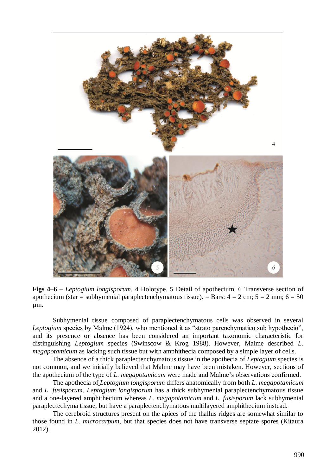

**Figs 4**–**6** – *Leptogium longisporum*. 4 Holotype. 5 Detail of apothecium. 6 Transverse section of apothecium (star = subhymenial paraplectenchymatous tissue). – Bars:  $4 = 2$  cm;  $5 = 2$  mm;  $6 = 50$ µm.

Subhymenial tissue composed of paraplectenchymatous cells was observed in several *Leptogium* species by Malme (1924), who mentioned it as "strato parenchymatico sub hypothecio", and its presence or absence has been considered an important taxonomic characteristic for distinguishing *Leptogium* species (Swinscow & Krog 1988). However, Malme described *L. megapotamicum* as lacking such tissue but with amphithecia composed by a simple layer of cells.

The absence of a thick paraplectenchymatous tissue in the apothecia of *Leptogium* species is not common, and we initially believed that Malme may have been mistaken. However, sections of the apothecium of the type of *L. megapotamicum* were made and Malme's observations confirmed.

The apothecia of *Leptogium longisporum* differs anatomically from both *L. megapotamicum* and *L. fusisporum*. *Leptogium longisporum* has a thick subhymenial paraplectenchymatous tissue and a one-layered amphithecium whereas *L. megapotamicum* and *L. fusisporum* lack subhymenial paraplectechyma tissue, but have a paraplectenchymatous multilayered amphithecium instead.

The cerebroid structures present on the apices of the thallus ridges are somewhat similar to those found in *L. microcarpum,* but that species does not have transverse septate spores (Kitaura 2012).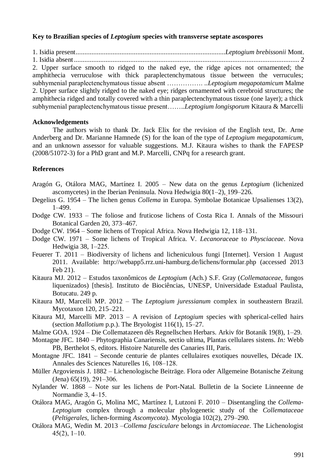### **Key to Brazilian species of** *Leptogium* **species with transverse septate ascospores**

1. Isidia present.....................................................................................*Leptogium brebissonii* Mont. 1. Isidia absent................................................................................................................................ 2 2. Upper surface smooth to ridged to the naked eye, the ridge apices not ornamented; the amphithecia verruculose with thick paraplectenchymatous tissue between the verrucules; subhymenial paraplectenchymatous tissue absent ……………. ..*Leptogium megapotamicum* Malme 2. Upper surface slightly ridged to the naked eye; ridges ornamented with cerebroid structures; the amphithecia ridged and totally covered with a thin paraplectenchymatous tissue (one layer); a thick subhymenial paraplectenchymatous tissue present……..*Leptogium longisporum* Kitaura & Marcelli

#### **Acknowledgements**

The authors wish to thank Dr. Jack Elix for the revision of the English text, Dr. Arne Anderberg and Dr. Marianne Hamnede (S) for the loan of the type of *Leptogium megapotamicum*, and an unknown assessor for valuable suggestions. M.J. Kitaura wishes to thank the FAPESP (2008/51072-3) for a PhD grant and M.P. Marcelli, CNPq for a research grant.

# **References**

- Aragón G, Otálora MAG, Martínez I. 2005 New data on the genus *Leptogium* (lichenized ascomycetes) in the Iberian Peninsula. Nova Hedwigia 80(1–2), 199–226.
- Degelius G. 1954 The lichen genus *Collema* in Europa. Symbolae Botanicae Upsalienses 13(2), 1–499.
- Dodge CW. 1933 The foliose and fruticose lichens of Costa Rica I. Annals of the Missouri Botanical Garden 20, 373–467.
- Dodge CW. 1964 Some lichens of Tropical Africa. Nova Hedwigia 12, 118–131.
- Dodge CW. 1971 Some lichens of Tropical Africa. V. *Lecanoraceae* to *Physciaceae*. Nova Hedwigia 38, 1-225.
- Feuerer T. 2011 Biodiversity of lichens and licheniculous fungi [Internet]. Version 1 August 2011. Available: http://webapp5.rrz.uni-hamburg.de/lichens/formular.php (accessed 2013 Feb 21).
- Kitaura MJ. 2012 Estudos taxonômicos de *Leptogium* (Ach.) S.F. Gray (*Collemataceae*, fungos liquenizados) [thesis]. Instituto de Biociências, UNESP, Universidade Estadual Paulista, Botucatu. 249 p.
- Kitaura MJ, Marcelli MP. 2012 The *Leptogium juressianum* complex in southeastern Brazil. Mycotaxon 120, 215–221.
- Kitaura MJ, Marcelli MP. 2013 A revision of *Leptogium* species with spherical-celled hairs (section *Mallotium* p.p.). The Bryologist 116(1), 15–27.
- Malme GOA. 1924 Die Collematazeen dês Regnellschen Herbars. Arkiv för Botanik 19(8), 1–29.
- Montagne JFC. 1840 Phytographia Canariensis, sectio ultima, Plantas cellulares sistens. *In:* Webb PB, Berthelot S, editors. Histoire Naturelle des Canaries III, Paris.
- Montagne JFC. 1841 Seconde centurie de plantes cellulaires exotiques nouvelles, Décade IX. Annales des Sciences Naturelles 16, 108-128.
- Müller Argoviensis J. 1882 Lichenologische Beiträge. Flora oder Allgemeine Botanische Zeitung  $(Jena)$  65(19), 291–306.
- Nylander W. 1868 Note sur les lichens de Port-Natal. Bulletin de la Societe Linneenne de Normandie 3, 4–15.
- Otálora MAG, Aragón G, Molina MC, Martínez I, Lutzoni F. 2010 Disentangling the *Collema*-*Leptogium* complex through a molecular phylogenetic study of the *Collemataceae* (*Peltigerales*, lichen-forming *Ascomycota*). Mycologia 102(2), 279–290.
- Otálora MAG, Wedin M. 2013 –*Collema fasciculare* belongs in *Arctomiaceae*. The Lichenologist  $45(2), 1-10.$